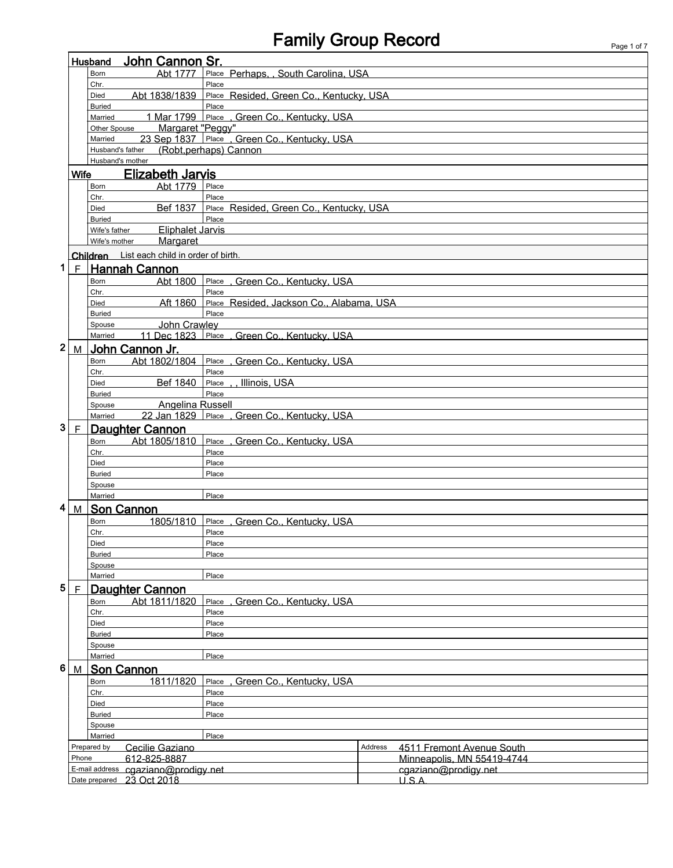## Family Group Record

| Page 1 of |  | 7 |
|-----------|--|---|
|           |  |   |

|                |                  | John Cannon Sr.<br>Husband                     |                                                  |                            |  |  |  |
|----------------|------------------|------------------------------------------------|--------------------------------------------------|----------------------------|--|--|--|
|                |                  | Born<br>Abt 1777                               | Place Perhaps, , South Carolina, USA             |                            |  |  |  |
|                |                  | Chr.                                           | Place                                            |                            |  |  |  |
|                |                  | Abt 1838/1839<br>Died                          | Place Resided, Green Co., Kentucky, USA          |                            |  |  |  |
|                |                  | <b>Buried</b>                                  | Place                                            |                            |  |  |  |
|                |                  | 1 Mar 1799 Place<br>Married                    | , Green Co., Kentucky, USA                       |                            |  |  |  |
|                |                  | Margaret "Peggy"<br>Other Spouse               |                                                  |                            |  |  |  |
|                |                  | Married                                        | 23 Sep 1837 Place, Green Co., Kentucky, USA      |                            |  |  |  |
|                |                  | Husband's father                               | (Robt, perhaps) Cannon                           |                            |  |  |  |
|                |                  | Husband's mother                               |                                                  |                            |  |  |  |
|                | <b>Wife</b>      | <u>Elizabeth Jarvis</u>                        |                                                  |                            |  |  |  |
|                |                  | Abt 1779<br>Born                               | Place                                            |                            |  |  |  |
|                |                  | Chr.                                           | Place                                            |                            |  |  |  |
|                |                  | <b>Bef 1837</b>  <br>Died<br><b>Buried</b>     | Place Resided, Green Co., Kentucky, USA<br>Place |                            |  |  |  |
|                |                  | <b>Eliphalet Jarvis</b><br>Wife's father       |                                                  |                            |  |  |  |
|                |                  | Margaret<br>Wife's mother                      |                                                  |                            |  |  |  |
|                |                  |                                                |                                                  |                            |  |  |  |
|                |                  | List each child in order of birth.<br>Children |                                                  |                            |  |  |  |
| 1              | $\mathsf{F}$     | <b>Hannah Cannon</b>                           |                                                  |                            |  |  |  |
|                |                  | Abt 1800<br>Born                               | Place, Green Co., Kentucky, USA                  |                            |  |  |  |
|                |                  | Chr.                                           | Place                                            |                            |  |  |  |
|                |                  | Aft 1860<br>Died                               | Place Resided, Jackson Co., Alabama, USA         |                            |  |  |  |
|                |                  | <b>Buried</b>                                  | Place                                            |                            |  |  |  |
|                |                  | John Crawley<br>Spouse                         |                                                  |                            |  |  |  |
|                |                  | Married                                        | 11 Dec 1823 Place Green Co., Kentucky, USA       |                            |  |  |  |
| 2              | M                | John Cannon Jr.                                |                                                  |                            |  |  |  |
|                |                  | Abt 1802/1804<br>Born                          | Place<br>, Green Co., Kentucky, USA              |                            |  |  |  |
|                |                  | Chr.                                           | Place                                            |                            |  |  |  |
|                |                  | <b>Bef 1840</b> Place<br>Died                  | , Illinois, USA                                  |                            |  |  |  |
|                |                  | <b>Buried</b>                                  | Place                                            |                            |  |  |  |
|                |                  | <b>Angelina Russell</b><br>Spouse<br>Married   | 22 Jan 1829 Place , Green Co., Kentucky, USA     |                            |  |  |  |
|                |                  |                                                |                                                  |                            |  |  |  |
| 3 <sup>2</sup> | F                | <b>Daughter Cannon</b>                         |                                                  |                            |  |  |  |
|                |                  | Abt 1805/1810<br>Born                          | Place<br>, Green Co., Kentucky, USA              |                            |  |  |  |
|                |                  | Chr.                                           | Place                                            |                            |  |  |  |
|                |                  | Died                                           | Place<br>Place                                   |                            |  |  |  |
|                |                  | <b>Buried</b><br>Spouse                        |                                                  |                            |  |  |  |
|                |                  | Married                                        | Place                                            |                            |  |  |  |
| 4              |                  |                                                |                                                  |                            |  |  |  |
|                | M                | <b>Son Cannon</b>                              |                                                  |                            |  |  |  |
|                |                  | 1805/1810<br>Born                              | , Green Co., Kentucky, USA<br>Place              |                            |  |  |  |
|                |                  | Chr.<br>Died                                   | Place<br>Place                                   |                            |  |  |  |
|                |                  | <b>Buried</b>                                  | Place                                            |                            |  |  |  |
|                |                  | Spouse                                         |                                                  |                            |  |  |  |
|                |                  | Married                                        | Place                                            |                            |  |  |  |
| 5              | $\mathsf F$      | <b>Daughter Cannon</b>                         |                                                  |                            |  |  |  |
|                |                  | Abt 1811/1820<br>Born                          | , Green Co., Kentucky, USA<br>Place              |                            |  |  |  |
|                |                  | Chr.                                           | Place                                            |                            |  |  |  |
|                |                  | Died                                           | Place                                            |                            |  |  |  |
|                |                  | <b>Buried</b>                                  | Place                                            |                            |  |  |  |
|                |                  | Spouse                                         |                                                  |                            |  |  |  |
|                |                  | Married                                        | Place                                            |                            |  |  |  |
| 6              | M                | <b>Son Cannon</b>                              |                                                  |                            |  |  |  |
|                |                  | 1811/1820<br>Born                              | Green Co., Kentucky, USA<br>Place                |                            |  |  |  |
|                |                  | Chr.                                           | Place                                            |                            |  |  |  |
|                |                  | Died                                           | Place                                            |                            |  |  |  |
|                |                  | <b>Buried</b>                                  | Place                                            |                            |  |  |  |
|                |                  | Spouse                                         |                                                  |                            |  |  |  |
|                | Married<br>Place |                                                |                                                  |                            |  |  |  |
|                |                  | Prepared by<br>Cecilie Gaziano                 | Address                                          | 4511 Fremont Avenue South  |  |  |  |
|                | Phone            | 612-825-8887                                   |                                                  | Minneapolis, MN 55419-4744 |  |  |  |
|                |                  | E-mail address<br>cgaziano@prodigy.net         |                                                  | cgaziano@prodigy.net       |  |  |  |
|                |                  | Date prepared 23 Oct 2018                      |                                                  | U.S.A.                     |  |  |  |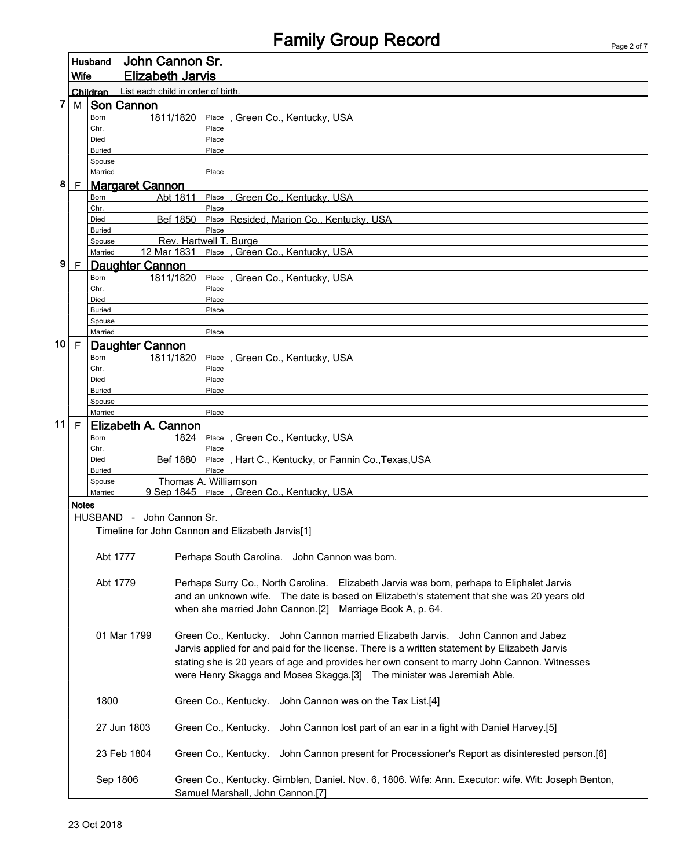| Page 2 of 7 |  |  |
|-------------|--|--|

|                                                                                               | John Cannon Sr.<br>Husband |                                                                                             |                                                                                                    |  |
|-----------------------------------------------------------------------------------------------|----------------------------|---------------------------------------------------------------------------------------------|----------------------------------------------------------------------------------------------------|--|
|                                                                                               | <b>Wife</b>                | <b>Elizabeth Jarvis</b>                                                                     |                                                                                                    |  |
|                                                                                               |                            | List each child in order of birth.<br>Children                                              |                                                                                                    |  |
|                                                                                               |                            |                                                                                             |                                                                                                    |  |
| 7                                                                                             |                            | M Son Cannon                                                                                |                                                                                                    |  |
|                                                                                               |                            | 1811/1820<br>Born                                                                           | Place, Green Co., Kentucky, USA                                                                    |  |
|                                                                                               |                            | Chr.                                                                                        | Place                                                                                              |  |
|                                                                                               |                            | Died<br><b>Buried</b>                                                                       | Place<br>Place                                                                                     |  |
|                                                                                               |                            | Spouse                                                                                      |                                                                                                    |  |
|                                                                                               |                            | Married                                                                                     | Place                                                                                              |  |
| 8                                                                                             | F                          | <b>Margaret Cannon</b>                                                                      |                                                                                                    |  |
|                                                                                               |                            | Abt 1811<br>Born                                                                            | Place<br>Green Co., Kentucky, USA                                                                  |  |
|                                                                                               |                            | Chr.                                                                                        | Place                                                                                              |  |
|                                                                                               |                            | Bef 1850<br>Died                                                                            | Place Resided, Marion Co., Kentucky, USA                                                           |  |
|                                                                                               |                            | <b>Buried</b>                                                                               | Place                                                                                              |  |
|                                                                                               |                            | Spouse                                                                                      | Rev. Hartwell T. Burge                                                                             |  |
|                                                                                               |                            | Married                                                                                     | 12 Mar 1831 Place , Green Co., Kentucky, USA                                                       |  |
| 9                                                                                             | F                          | <b>Daughter Cannon</b>                                                                      |                                                                                                    |  |
|                                                                                               |                            | 1811/1820<br>Born                                                                           | Place, Green Co., Kentucky, USA                                                                    |  |
|                                                                                               |                            | Chr.                                                                                        | Place                                                                                              |  |
|                                                                                               |                            | Died                                                                                        | Place                                                                                              |  |
|                                                                                               |                            | <b>Buried</b>                                                                               | Place                                                                                              |  |
|                                                                                               |                            | Spouse                                                                                      |                                                                                                    |  |
|                                                                                               |                            | Married                                                                                     | Place                                                                                              |  |
| 10 $F$                                                                                        |                            | Daughter Cannon                                                                             |                                                                                                    |  |
|                                                                                               |                            | 1811/1820<br>Born                                                                           | Place, Green Co., Kentucky, USA                                                                    |  |
|                                                                                               |                            | Chr.                                                                                        | Place                                                                                              |  |
|                                                                                               |                            | Died                                                                                        | Place                                                                                              |  |
|                                                                                               |                            | <b>Buried</b>                                                                               | Place                                                                                              |  |
|                                                                                               |                            | Spouse                                                                                      |                                                                                                    |  |
|                                                                                               |                            | Married                                                                                     | Place                                                                                              |  |
| 11 $\mid$ F                                                                                   |                            | Elizabeth A. Cannon                                                                         |                                                                                                    |  |
|                                                                                               |                            | Born                                                                                        | Place, Green Co., Kentucky, USA<br>1824                                                            |  |
|                                                                                               |                            | Chr.                                                                                        | Place                                                                                              |  |
|                                                                                               |                            | Bef 1880<br>Died                                                                            | , Hart C., Kentucky, or Fannin Co., Texas, USA<br>Place                                            |  |
|                                                                                               |                            | <b>Buried</b>                                                                               | Place                                                                                              |  |
|                                                                                               |                            | Spouse<br>Married                                                                           | Thomas A. Williamson<br>9 Sep 1845 Place . Green Co., Kentucky, USA                                |  |
|                                                                                               |                            |                                                                                             |                                                                                                    |  |
|                                                                                               | <b>Notes</b>               |                                                                                             |                                                                                                    |  |
|                                                                                               |                            | HUSBAND - John Cannon Sr.                                                                   |                                                                                                    |  |
|                                                                                               |                            |                                                                                             | Timeline for John Cannon and Elizabeth Jarvis[1]                                                   |  |
|                                                                                               |                            |                                                                                             |                                                                                                    |  |
|                                                                                               |                            | Abt 1777                                                                                    | Perhaps South Carolina. John Cannon was born.                                                      |  |
|                                                                                               |                            |                                                                                             |                                                                                                    |  |
|                                                                                               |                            | Abt 1779                                                                                    | Perhaps Surry Co., North Carolina. Elizabeth Jarvis was born, perhaps to Eliphalet Jarvis          |  |
|                                                                                               |                            |                                                                                             | and an unknown wife. The date is based on Elizabeth's statement that she was 20 years old          |  |
|                                                                                               |                            |                                                                                             | when she married John Cannon.[2] Marriage Book A, p. 64.                                           |  |
|                                                                                               |                            |                                                                                             |                                                                                                    |  |
|                                                                                               |                            |                                                                                             |                                                                                                    |  |
|                                                                                               |                            | 01 Mar 1799                                                                                 | Green Co., Kentucky. John Cannon married Elizabeth Jarvis. John Cannon and Jabez                   |  |
| Jarvis applied for and paid for the license. There is a written statement by Elizabeth Jarvis |                            |                                                                                             |                                                                                                    |  |
|                                                                                               |                            | stating she is 20 years of age and provides her own consent to marry John Cannon. Witnesses |                                                                                                    |  |
|                                                                                               |                            |                                                                                             | were Henry Skaggs and Moses Skaggs.[3] The minister was Jeremiah Able.                             |  |
|                                                                                               |                            |                                                                                             |                                                                                                    |  |
|                                                                                               |                            | 1800                                                                                        | Green Co., Kentucky. John Cannon was on the Tax List.[4]                                           |  |
|                                                                                               |                            |                                                                                             |                                                                                                    |  |
|                                                                                               |                            |                                                                                             |                                                                                                    |  |
|                                                                                               |                            | 27 Jun 1803                                                                                 | Green Co., Kentucky. John Cannon lost part of an ear in a fight with Daniel Harvey.[5]             |  |
|                                                                                               |                            |                                                                                             |                                                                                                    |  |
|                                                                                               |                            | 23 Feb 1804                                                                                 | Green Co., Kentucky. John Cannon present for Processioner's Report as disinterested person.[6]     |  |
|                                                                                               |                            |                                                                                             |                                                                                                    |  |
|                                                                                               |                            | Sep 1806                                                                                    | Green Co., Kentucky. Gimblen, Daniel. Nov. 6, 1806. Wife: Ann. Executor: wife. Wit: Joseph Benton, |  |
|                                                                                               |                            |                                                                                             | Samuel Marshall, John Cannon.[7]                                                                   |  |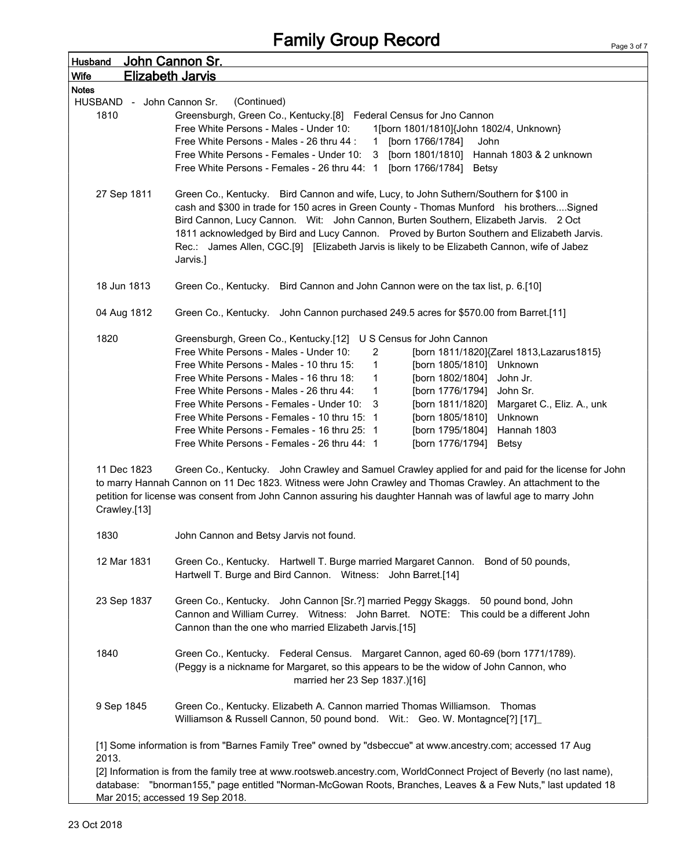| <b>Husband</b>              | <u>John Cannon Sr.</u>                                                                                                                                                                                                                                                                                                                                                                                                                                                                                                                                                                                                                                                                                                                                                 |
|-----------------------------|------------------------------------------------------------------------------------------------------------------------------------------------------------------------------------------------------------------------------------------------------------------------------------------------------------------------------------------------------------------------------------------------------------------------------------------------------------------------------------------------------------------------------------------------------------------------------------------------------------------------------------------------------------------------------------------------------------------------------------------------------------------------|
| <b>Wife</b>                 | <b>Elizabeth Jarvis</b>                                                                                                                                                                                                                                                                                                                                                                                                                                                                                                                                                                                                                                                                                                                                                |
| <b>Notes</b>                |                                                                                                                                                                                                                                                                                                                                                                                                                                                                                                                                                                                                                                                                                                                                                                        |
| <b>HUSBAND</b><br>1810      | (Continued)<br>- John Cannon Sr.<br>Greensburgh, Green Co., Kentucky.[8] Federal Census for Jno Cannon<br>Free White Persons - Males - Under 10:<br>1[born 1801/1810]{John 1802/4, Unknown}<br>Free White Persons - Males - 26 thru 44 :<br>1 [born 1766/1784]<br>John<br>Free White Persons - Females - Under 10:<br>3 [born 1801/1810] Hannah 1803 & 2 unknown<br>Free White Persons - Females - 26 thru 44: 1 [born 1766/1784] Betsy                                                                                                                                                                                                                                                                                                                                |
| 27 Sep 1811                 | Green Co., Kentucky. Bird Cannon and wife, Lucy, to John Suthern/Southern for \$100 in<br>cash and \$300 in trade for 150 acres in Green County - Thomas Munford his brothersSigned<br>Bird Cannon, Lucy Cannon. Wit: John Cannon, Burten Southern, Elizabeth Jarvis. 2 Oct<br>1811 acknowledged by Bird and Lucy Cannon. Proved by Burton Southern and Elizabeth Jarvis.<br>Rec.: James Allen, CGC.[9] [Elizabeth Jarvis is likely to be Elizabeth Cannon, wife of Jabez<br>Jarvis.]                                                                                                                                                                                                                                                                                  |
| 18 Jun 1813                 | Green Co., Kentucky. Bird Cannon and John Cannon were on the tax list, p. 6.[10]                                                                                                                                                                                                                                                                                                                                                                                                                                                                                                                                                                                                                                                                                       |
| 04 Aug 1812                 | Green Co., Kentucky. John Cannon purchased 249.5 acres for \$570.00 from Barret.[11]                                                                                                                                                                                                                                                                                                                                                                                                                                                                                                                                                                                                                                                                                   |
| 1820                        | Greensburgh, Green Co., Kentucky.[12] U S Census for John Cannon<br>Free White Persons - Males - Under 10:<br>2<br>[born 1811/1820] {Zarel 1813, Lazarus 1815}<br>Free White Persons - Males - 10 thru 15:<br>1<br>[born 1805/1810] Unknown<br>Free White Persons - Males - 16 thru 18:<br>[born 1802/1804]<br>John Jr.<br>1<br>Free White Persons - Males - 26 thru 44:<br>[born 1776/1794]<br>1<br>John Sr.<br>Free White Persons - Females - Under 10:<br>[born 1811/1820]<br>3<br>Margaret C., Eliz. A., unk<br>Free White Persons - Females - 10 thru 15: 1<br>[born 1805/1810]<br>Unknown<br>Free White Persons - Females - 16 thru 25: 1<br>[born 1795/1804]<br>Hannah 1803<br>Free White Persons - Females - 26 thru 44: 1<br>[born 1776/1794]<br><b>Betsy</b> |
| 11 Dec 1823<br>Crawley.[13] | Green Co., Kentucky. John Crawley and Samuel Crawley applied for and paid for the license for John<br>to marry Hannah Cannon on 11 Dec 1823. Witness were John Crawley and Thomas Crawley. An attachment to the<br>petition for license was consent from John Cannon assuring his daughter Hannah was of lawful age to marry John                                                                                                                                                                                                                                                                                                                                                                                                                                      |
| 1830                        | John Cannon and Betsy Jarvis not found.                                                                                                                                                                                                                                                                                                                                                                                                                                                                                                                                                                                                                                                                                                                                |
| 12 Mar 1831                 | Green Co., Kentucky. Hartwell T. Burge married Margaret Cannon. Bond of 50 pounds,<br>Hartwell T. Burge and Bird Cannon. Witness: John Barret.[14]                                                                                                                                                                                                                                                                                                                                                                                                                                                                                                                                                                                                                     |
| 23 Sep 1837                 | Green Co., Kentucky. John Cannon [Sr.?] married Peggy Skaggs. 50 pound bond, John<br>Cannon and William Currey. Witness: John Barret. NOTE: This could be a different John<br>Cannon than the one who married Elizabeth Jarvis.[15]                                                                                                                                                                                                                                                                                                                                                                                                                                                                                                                                    |
| 1840                        | Green Co., Kentucky. Federal Census. Margaret Cannon, aged 60-69 (born 1771/1789).<br>(Peggy is a nickname for Margaret, so this appears to be the widow of John Cannon, who<br>married her 23 Sep 1837.)[16]                                                                                                                                                                                                                                                                                                                                                                                                                                                                                                                                                          |
| 9 Sep 1845                  | Green Co., Kentucky. Elizabeth A. Cannon married Thomas Williamson. Thomas<br>Williamson & Russell Cannon, 50 pound bond. Wit.: Geo. W. Montagnce[?] [17]                                                                                                                                                                                                                                                                                                                                                                                                                                                                                                                                                                                                              |
| 2013.                       | [1] Some information is from "Barnes Family Tree" owned by "dsbeccue" at www.ancestry.com; accessed 17 Aug<br>[2] Information is from the family tree at www.rootsweb.ancestry.com, WorldConnect Project of Beverly (no last name),<br>database: "bnorman155," page entitled "Norman-McGowan Roots, Branches, Leaves & a Few Nuts," last updated 18<br>Mar 2015; accessed 19 Sep 2018.                                                                                                                                                                                                                                                                                                                                                                                 |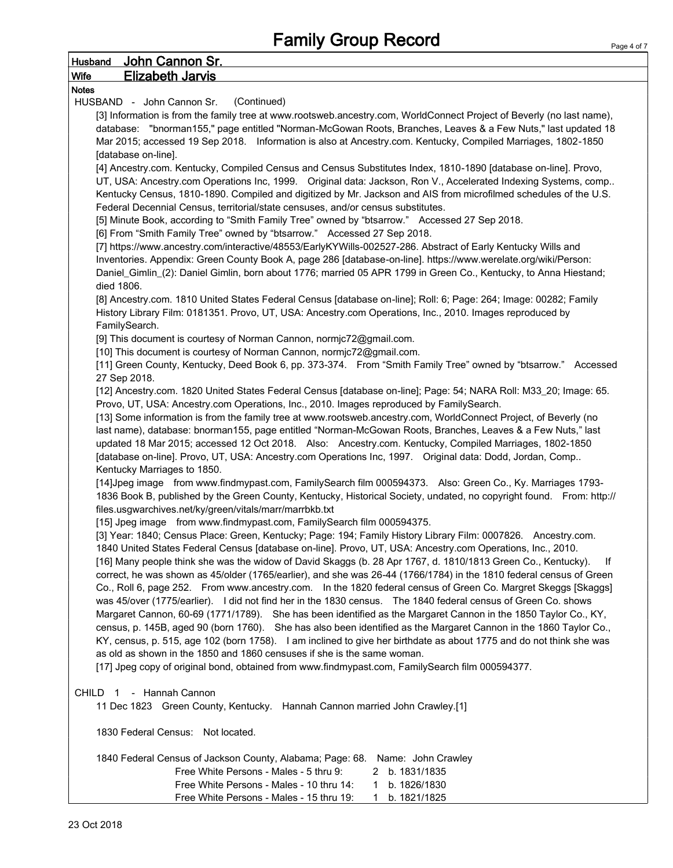## Husband John Cannon Sr. Wife Elizabeth Jarvis

Notes

| <b>Notes</b>                                                                                                                                                                                                          |
|-----------------------------------------------------------------------------------------------------------------------------------------------------------------------------------------------------------------------|
| (Continued)<br>HUSBAND - John Cannon Sr.                                                                                                                                                                              |
| [3] Information is from the family tree at www.rootsweb.ancestry.com, WorldConnect Project of Beverly (no last name),                                                                                                 |
| database: "bnorman155," page entitled "Norman-McGowan Roots, Branches, Leaves & a Few Nuts," last updated 18                                                                                                          |
| Mar 2015; accessed 19 Sep 2018. Information is also at Ancestry.com. Kentucky, Compiled Marriages, 1802-1850                                                                                                          |
| [database on-line].                                                                                                                                                                                                   |
| [4] Ancestry.com. Kentucky, Compiled Census and Census Substitutes Index, 1810-1890 [database on-line]. Provo,                                                                                                        |
| UT, USA: Ancestry.com Operations Inc, 1999. Original data: Jackson, Ron V., Accelerated Indexing Systems, comp                                                                                                        |
| Kentucky Census, 1810-1890. Compiled and digitized by Mr. Jackson and AIS from microfilmed schedules of the U.S.                                                                                                      |
| Federal Decennial Census, territorial/state censuses, and/or census substitutes.                                                                                                                                      |
| [5] Minute Book, according to "Smith Family Tree" owned by "btsarrow." Accessed 27 Sep 2018.                                                                                                                          |
| [6] From "Smith Family Tree" owned by "btsarrow." Accessed 27 Sep 2018.                                                                                                                                               |
| [7] https://www.ancestry.com/interactive/48553/EarlyKYWills-002527-286. Abstract of Early Kentucky Wills and                                                                                                          |
| Inventories. Appendix: Green County Book A, page 286 [database-on-line]. https://www.werelate.org/wiki/Person:                                                                                                        |
| Daniel_Gimlin_(2): Daniel Gimlin, born about 1776; married 05 APR 1799 in Green Co., Kentucky, to Anna Hiestand;                                                                                                      |
| died 1806.                                                                                                                                                                                                            |
| [8] Ancestry.com. 1810 United States Federal Census [database on-line]; Roll: 6; Page: 264; Image: 00282; Family                                                                                                      |
| History Library Film: 0181351. Provo, UT, USA: Ancestry.com Operations, Inc., 2010. Images reproduced by                                                                                                              |
| FamilySearch.                                                                                                                                                                                                         |
| [9] This document is courtesy of Norman Cannon, normjc72@gmail.com.                                                                                                                                                   |
| [10] This document is courtesy of Norman Cannon, normjc72@gmail.com.                                                                                                                                                  |
| [11] Green County, Kentucky, Deed Book 6, pp. 373-374. From "Smith Family Tree" owned by "btsarrow." Accessed                                                                                                         |
| 27 Sep 2018.                                                                                                                                                                                                          |
| [12] Ancestry.com. 1820 United States Federal Census [database on-line]; Page: 54; NARA Roll: M33_20; Image: 65.                                                                                                      |
| Provo, UT, USA: Ancestry.com Operations, Inc., 2010. Images reproduced by FamilySearch.                                                                                                                               |
| [13] Some information is from the family tree at www.rootsweb.ancestry.com, WorldConnect Project, of Beverly (no                                                                                                      |
| last name), database: bnorman155, page entitled "Norman-McGowan Roots, Branches, Leaves & a Few Nuts," last<br>updated 18 Mar 2015; accessed 12 Oct 2018. Also: Ancestry.com. Kentucky, Compiled Marriages, 1802-1850 |
| [database on-line]. Provo, UT, USA: Ancestry.com Operations Inc, 1997. Original data: Dodd, Jordan, Comp                                                                                                              |
| Kentucky Marriages to 1850.                                                                                                                                                                                           |
| [14] Jpeg image from www.findmypast.com, Family Search film 000594373. Also: Green Co., Ky. Marriages 1793-                                                                                                           |
| 1836 Book B, published by the Green County, Kentucky, Historical Society, undated, no copyright found. From: http://                                                                                                  |
| files.usgwarchives.net/ky/green/vitals/marr/marrbkb.txt                                                                                                                                                               |
| [15] Jpeg image from www.findmypast.com, FamilySearch film 000594375.                                                                                                                                                 |
| [3] Year: 1840: Census Place: Green. Kentucky: Page: 194: Family History Library Film: 0007826. Ancestry.com.                                                                                                         |

[3] Year: 1840; Census Place: Green, Kentucky; Page: 194; Family History Library Film: 0007826. Ancestry.com. 1840 United States Federal Census [database on-line]. Provo, UT, USA: Ancestry.com Operations, Inc., 2010. [16] Many people think she was the widow of David Skaggs (b. 28 Apr 1767, d. 1810/1813 Green Co., Kentucky). If correct, he was shown as 45/older (1765/earlier), and she was 26-44 (1766/1784) in the 1810 federal census of Green Co., Roll 6, page 252. From www.ancestry.com. In the 1820 federal census of Green Co. Margret Skeggs [Skaggs] was 45/over (1775/earlier). I did not find her in the 1830 census. The 1840 federal census of Green Co. shows Margaret Cannon, 60-69 (1771/1789). She has been identified as the Margaret Cannon in the 1850 Taylor Co., KY, census, p. 145B, aged 90 (born 1760). She has also been identified as the Margaret Cannon in the 1860 Taylor Co., KY, census, p. 515, age 102 (born 1758). I am inclined to give her birthdate as about 1775 and do not think she was as old as shown in the 1850 and 1860 censuses if she is the same woman.

[17] Jpeg copy of original bond, obtained from www.findmypast.com, FamilySearch film 000594377.

CHILD 1 - Hannah Cannon

11 Dec 1823 Green County, Kentucky. Hannah Cannon married John Crawley.[1]

1830 Federal Census: Not located.

1840 Federal Census of Jackson County, Alabama; Page: 68. Name: John Crawley Free White Persons - Males - 5 thru 9: 2 b. 1831/1835 Free White Persons - Males - 10 thru 14: 1 b. 1826/1830 Free White Persons - Males - 15 thru 19: 1 b. 1821/1825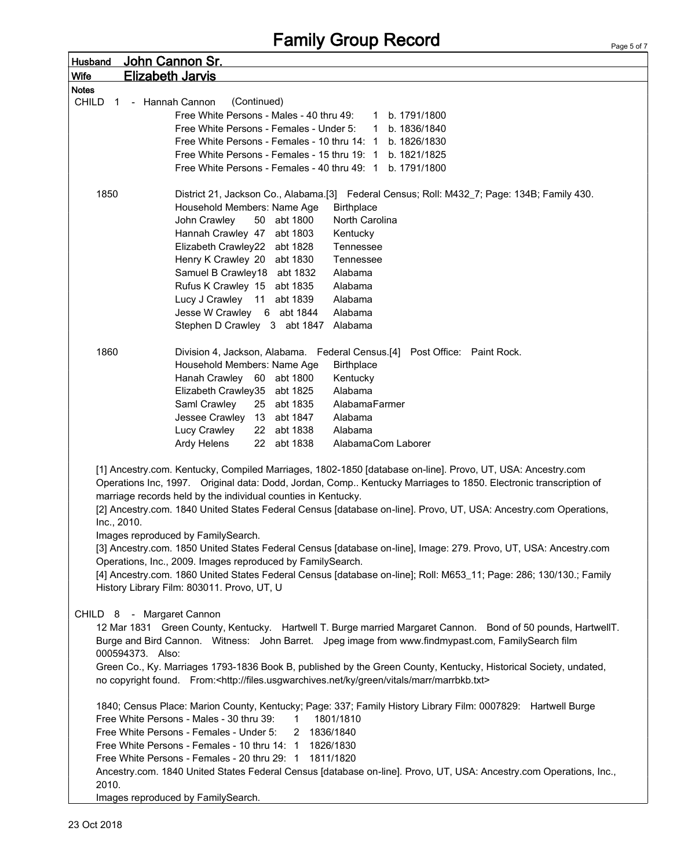## Family Group Record

Page 5 of 7

| <u>John Cannon Sr.</u><br><b>Husband</b>                                                                                                                                                                                                                            |                                                                                                                                                                                                                                                                                                                                                                                                                                                                                                                                                                                                                                                                                                                                                                                                                |  |  |  |
|---------------------------------------------------------------------------------------------------------------------------------------------------------------------------------------------------------------------------------------------------------------------|----------------------------------------------------------------------------------------------------------------------------------------------------------------------------------------------------------------------------------------------------------------------------------------------------------------------------------------------------------------------------------------------------------------------------------------------------------------------------------------------------------------------------------------------------------------------------------------------------------------------------------------------------------------------------------------------------------------------------------------------------------------------------------------------------------------|--|--|--|
| <b>Wife</b>                                                                                                                                                                                                                                                         | <b>Elizabeth Jarvis</b>                                                                                                                                                                                                                                                                                                                                                                                                                                                                                                                                                                                                                                                                                                                                                                                        |  |  |  |
| <b>Notes</b>                                                                                                                                                                                                                                                        |                                                                                                                                                                                                                                                                                                                                                                                                                                                                                                                                                                                                                                                                                                                                                                                                                |  |  |  |
| CHILD 1 - Hannah Cannon                                                                                                                                                                                                                                             | (Continued)                                                                                                                                                                                                                                                                                                                                                                                                                                                                                                                                                                                                                                                                                                                                                                                                    |  |  |  |
|                                                                                                                                                                                                                                                                     | Free White Persons - Males - 40 thru 49: 1 b. 1791/1800                                                                                                                                                                                                                                                                                                                                                                                                                                                                                                                                                                                                                                                                                                                                                        |  |  |  |
|                                                                                                                                                                                                                                                                     | Free White Persons - Females - Under 5:<br>1 b. 1836/1840                                                                                                                                                                                                                                                                                                                                                                                                                                                                                                                                                                                                                                                                                                                                                      |  |  |  |
|                                                                                                                                                                                                                                                                     | Free White Persons - Females - 10 thru 14: 1 b. 1826/1830                                                                                                                                                                                                                                                                                                                                                                                                                                                                                                                                                                                                                                                                                                                                                      |  |  |  |
|                                                                                                                                                                                                                                                                     | Free White Persons - Females - 15 thru 19: 1 b. 1821/1825                                                                                                                                                                                                                                                                                                                                                                                                                                                                                                                                                                                                                                                                                                                                                      |  |  |  |
|                                                                                                                                                                                                                                                                     | Free White Persons - Females - 40 thru 49: 1 b. 1791/1800                                                                                                                                                                                                                                                                                                                                                                                                                                                                                                                                                                                                                                                                                                                                                      |  |  |  |
|                                                                                                                                                                                                                                                                     |                                                                                                                                                                                                                                                                                                                                                                                                                                                                                                                                                                                                                                                                                                                                                                                                                |  |  |  |
| 1850                                                                                                                                                                                                                                                                | District 21, Jackson Co., Alabama.[3] Federal Census; Roll: M432_7; Page: 134B; Family 430.                                                                                                                                                                                                                                                                                                                                                                                                                                                                                                                                                                                                                                                                                                                    |  |  |  |
|                                                                                                                                                                                                                                                                     | Household Members: Name Age<br><b>Birthplace</b>                                                                                                                                                                                                                                                                                                                                                                                                                                                                                                                                                                                                                                                                                                                                                               |  |  |  |
|                                                                                                                                                                                                                                                                     | North Carolina<br>John Crawley<br>50 abt 1800                                                                                                                                                                                                                                                                                                                                                                                                                                                                                                                                                                                                                                                                                                                                                                  |  |  |  |
|                                                                                                                                                                                                                                                                     | Hannah Crawley 47 abt 1803<br>Kentucky                                                                                                                                                                                                                                                                                                                                                                                                                                                                                                                                                                                                                                                                                                                                                                         |  |  |  |
|                                                                                                                                                                                                                                                                     | Elizabeth Crawley22 abt 1828<br>Tennessee                                                                                                                                                                                                                                                                                                                                                                                                                                                                                                                                                                                                                                                                                                                                                                      |  |  |  |
|                                                                                                                                                                                                                                                                     | Henry K Crawley 20 abt 1830<br>Tennessee                                                                                                                                                                                                                                                                                                                                                                                                                                                                                                                                                                                                                                                                                                                                                                       |  |  |  |
|                                                                                                                                                                                                                                                                     | Samuel B Crawley18 abt 1832<br>Alabama                                                                                                                                                                                                                                                                                                                                                                                                                                                                                                                                                                                                                                                                                                                                                                         |  |  |  |
|                                                                                                                                                                                                                                                                     | Rufus K Crawley 15 abt 1835<br>Alabama                                                                                                                                                                                                                                                                                                                                                                                                                                                                                                                                                                                                                                                                                                                                                                         |  |  |  |
|                                                                                                                                                                                                                                                                     | Lucy J Crawley 11 abt 1839<br>Alabama                                                                                                                                                                                                                                                                                                                                                                                                                                                                                                                                                                                                                                                                                                                                                                          |  |  |  |
|                                                                                                                                                                                                                                                                     | Jesse W Crawley 6 abt 1844<br>Alabama                                                                                                                                                                                                                                                                                                                                                                                                                                                                                                                                                                                                                                                                                                                                                                          |  |  |  |
|                                                                                                                                                                                                                                                                     | Stephen D Crawley 3 abt 1847 Alabama                                                                                                                                                                                                                                                                                                                                                                                                                                                                                                                                                                                                                                                                                                                                                                           |  |  |  |
|                                                                                                                                                                                                                                                                     |                                                                                                                                                                                                                                                                                                                                                                                                                                                                                                                                                                                                                                                                                                                                                                                                                |  |  |  |
| 1860                                                                                                                                                                                                                                                                | Division 4, Jackson, Alabama. Federal Census.[4] Post Office: Paint Rock.                                                                                                                                                                                                                                                                                                                                                                                                                                                                                                                                                                                                                                                                                                                                      |  |  |  |
|                                                                                                                                                                                                                                                                     | Household Members: Name Age<br><b>Birthplace</b>                                                                                                                                                                                                                                                                                                                                                                                                                                                                                                                                                                                                                                                                                                                                                               |  |  |  |
|                                                                                                                                                                                                                                                                     | Hanah Crawley 60 abt 1800<br>Kentucky                                                                                                                                                                                                                                                                                                                                                                                                                                                                                                                                                                                                                                                                                                                                                                          |  |  |  |
|                                                                                                                                                                                                                                                                     | Elizabeth Crawley35 abt 1825<br>Alabama                                                                                                                                                                                                                                                                                                                                                                                                                                                                                                                                                                                                                                                                                                                                                                        |  |  |  |
|                                                                                                                                                                                                                                                                     | Saml Crawley<br>AlabamaFarmer<br>25 abt 1835                                                                                                                                                                                                                                                                                                                                                                                                                                                                                                                                                                                                                                                                                                                                                                   |  |  |  |
|                                                                                                                                                                                                                                                                     | Jessee Crawley 13 abt 1847<br>Alabama                                                                                                                                                                                                                                                                                                                                                                                                                                                                                                                                                                                                                                                                                                                                                                          |  |  |  |
|                                                                                                                                                                                                                                                                     | Alabama<br>Lucy Crawley<br>22 abt 1838                                                                                                                                                                                                                                                                                                                                                                                                                                                                                                                                                                                                                                                                                                                                                                         |  |  |  |
|                                                                                                                                                                                                                                                                     | Ardy Helens<br>22 abt 1838<br>AlabamaCom Laborer                                                                                                                                                                                                                                                                                                                                                                                                                                                                                                                                                                                                                                                                                                                                                               |  |  |  |
| Inc., 2010.                                                                                                                                                                                                                                                         | [1] Ancestry.com. Kentucky, Compiled Marriages, 1802-1850 [database on-line]. Provo, UT, USA: Ancestry.com<br>Operations Inc, 1997. Original data: Dodd, Jordan, Comp Kentucky Marriages to 1850. Electronic transcription of<br>marriage records held by the individual counties in Kentucky.<br>[2] Ancestry.com. 1840 United States Federal Census [database on-line]. Provo, UT, USA: Ancestry.com Operations,<br>Images reproduced by FamilySearch.<br>[3] Ancestry.com. 1850 United States Federal Census [database on-line], Image: 279. Provo, UT, USA: Ancestry.com<br>Operations, Inc., 2009. Images reproduced by FamilySearch.<br>[4] Ancestry.com. 1860 United States Federal Census [database on-line]; Roll: M653_11; Page: 286; 130/130.; Family<br>History Library Film: 803011. Provo, UT, U |  |  |  |
|                                                                                                                                                                                                                                                                     |                                                                                                                                                                                                                                                                                                                                                                                                                                                                                                                                                                                                                                                                                                                                                                                                                |  |  |  |
| CHILD 8 - Margaret Cannon<br>12 Mar 1831 Green County, Kentucky. Hartwell T. Burge married Margaret Cannon. Bond of 50 pounds, HartwellT.<br>Burge and Bird Cannon. Witness: John Barret. Jpeg image from www.findmypast.com, FamilySearch film<br>000594373. Also: |                                                                                                                                                                                                                                                                                                                                                                                                                                                                                                                                                                                                                                                                                                                                                                                                                |  |  |  |
|                                                                                                                                                                                                                                                                     | Green Co., Ky. Marriages 1793-1836 Book B, published by the Green County, Kentucky, Historical Society, undated,<br>no copyright found. From: <http: files.usgwarchives.net="" green="" ky="" marr="" marrbkb.txt="" vitals=""></http:>                                                                                                                                                                                                                                                                                                                                                                                                                                                                                                                                                                        |  |  |  |
|                                                                                                                                                                                                                                                                     | 1840; Census Place: Marion County, Kentucky; Page: 337; Family History Library Film: 0007829: Hartwell Burge<br>Free White Persons - Males - 30 thru 39:<br>$\overline{1}$<br>1801/1810<br>Free White Persons - Females - Under 5:<br>2 1836/1840                                                                                                                                                                                                                                                                                                                                                                                                                                                                                                                                                              |  |  |  |
|                                                                                                                                                                                                                                                                     | Free White Persons - Females - 10 thru 14: 1 1826/1830                                                                                                                                                                                                                                                                                                                                                                                                                                                                                                                                                                                                                                                                                                                                                         |  |  |  |
|                                                                                                                                                                                                                                                                     | Free White Persons - Females - 20 thru 29: 1 1811/1820                                                                                                                                                                                                                                                                                                                                                                                                                                                                                                                                                                                                                                                                                                                                                         |  |  |  |
| 2010.                                                                                                                                                                                                                                                               | Ancestry.com. 1840 United States Federal Census [database on-line]. Provo, UT, USA: Ancestry.com Operations, Inc.,                                                                                                                                                                                                                                                                                                                                                                                                                                                                                                                                                                                                                                                                                             |  |  |  |
|                                                                                                                                                                                                                                                                     | Images reproduced by FamilySearch.                                                                                                                                                                                                                                                                                                                                                                                                                                                                                                                                                                                                                                                                                                                                                                             |  |  |  |

r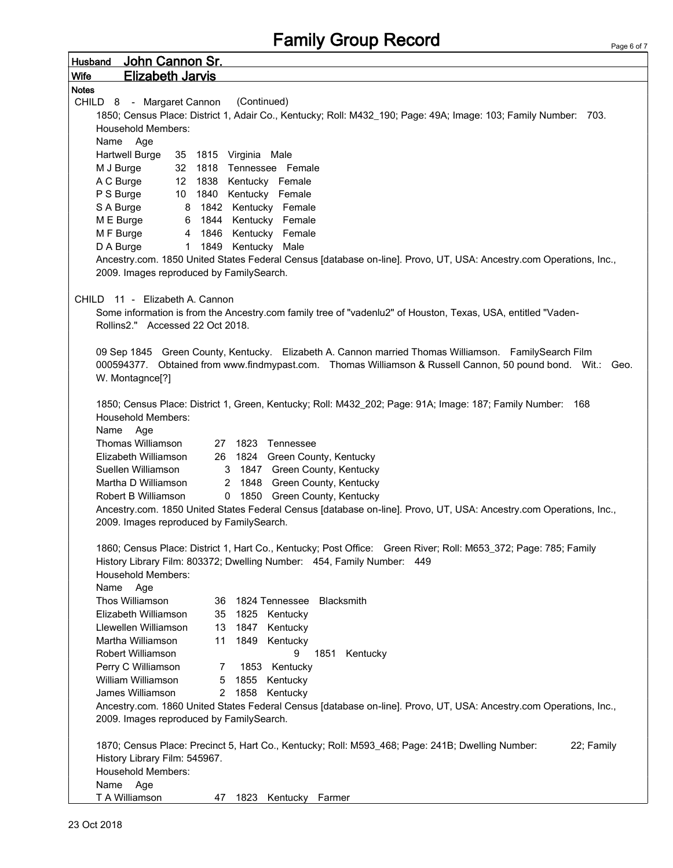| Husband John Cannon Sr.                                                                                            |  |
|--------------------------------------------------------------------------------------------------------------------|--|
| <b>Elizabeth Jarvis</b><br><b>Wife</b>                                                                             |  |
| <b>Notes</b>                                                                                                       |  |
| CHILD 8 - Margaret Cannon<br>(Continued)                                                                           |  |
| 1850; Census Place: District 1, Adair Co., Kentucky; Roll: M432_190; Page: 49A; Image: 103; Family Number: 703.    |  |
| <b>Household Members:</b>                                                                                          |  |
| Name Age                                                                                                           |  |
| <b>Hartwell Burge</b><br>35 1815 Virginia Male<br>32 1818 Tennessee Female                                         |  |
| M J Burge<br>A C Burge<br>12 1838 Kentucky Female                                                                  |  |
| P S Burge<br>10 1840 Kentucky Female                                                                               |  |
| S A Burge<br>8 1842 Kentucky Female                                                                                |  |
| M E Burge<br>6 1844 Kentucky Female                                                                                |  |
| M F Burge<br>4 1846 Kentucky Female                                                                                |  |
| 1 1849 Kentucky Male<br>D A Burge                                                                                  |  |
| Ancestry.com. 1850 United States Federal Census [database on-line]. Provo, UT, USA: Ancestry.com Operations, Inc., |  |
| 2009. Images reproduced by FamilySearch.                                                                           |  |
| CHILD 11 - Elizabeth A. Cannon                                                                                     |  |
| Some information is from the Ancestry.com family tree of "vadenlu2" of Houston, Texas, USA, entitled "Vaden-       |  |
| Rollins2." Accessed 22 Oct 2018.                                                                                   |  |
|                                                                                                                    |  |
| 09 Sep 1845 Green County, Kentucky. Elizabeth A. Cannon married Thomas Williamson. FamilySearch Film               |  |
| 000594377. Obtained from www.findmypast.com. Thomas Williamson & Russell Cannon, 50 pound bond. Wit.: Geo.         |  |
| W. Montagnce[?]                                                                                                    |  |
|                                                                                                                    |  |
| 1850; Census Place: District 1, Green, Kentucky; Roll: M432_202; Page: 91A; Image: 187; Family Number: 168         |  |
| <b>Household Members:</b>                                                                                          |  |
| Name<br>Age<br>Thomas Williamson<br>27 1823 Tennessee                                                              |  |
| 26 1824 Green County, Kentucky<br>Elizabeth Williamson                                                             |  |
| Suellen Williamson<br>3 1847 Green County, Kentucky                                                                |  |
| 2 1848 Green County, Kentucky<br>Martha D Williamson                                                               |  |
| 0 1850 Green County, Kentucky<br>Robert B Williamson                                                               |  |
| Ancestry.com. 1850 United States Federal Census [database on-line]. Provo, UT, USA: Ancestry.com Operations, Inc., |  |
| 2009. Images reproduced by FamilySearch.                                                                           |  |
|                                                                                                                    |  |
| 1860; Census Place: District 1, Hart Co., Kentucky; Post Office: Green River; Roll: M653_372; Page: 785; Family    |  |
| History Library Film: 803372; Dwelling Number: 454, Family Number: 449                                             |  |
| <b>Household Members:</b><br>Name<br>Age                                                                           |  |
| Thos Williamson<br>1824 Tennessee<br>Blacksmith<br>36                                                              |  |
| Elizabeth Williamson<br>35<br>1825 Kentucky                                                                        |  |
| Llewellen Williamson<br>Kentucky<br>13<br>1847                                                                     |  |
| Martha Williamson<br>1849 Kentucky<br>11                                                                           |  |
| Robert Williamson<br>9<br>1851 Kentucky                                                                            |  |
| Perry C Williamson<br>1853 Kentucky<br>7                                                                           |  |
| William Williamson<br>Kentucky<br>5<br>1855                                                                        |  |
| James Williamson<br>2 1858 Kentucky                                                                                |  |
| Ancestry.com. 1860 United States Federal Census [database on-line]. Provo, UT, USA: Ancestry.com Operations, Inc., |  |
| 2009. Images reproduced by FamilySearch.                                                                           |  |
| 1870; Census Place: Precinct 5, Hart Co., Kentucky; Roll: M593_468; Page: 241B; Dwelling Number:<br>22; Family     |  |
| History Library Film: 545967.                                                                                      |  |
| <b>Household Members:</b>                                                                                          |  |
| Name<br>Age                                                                                                        |  |
| T A Williamson<br>1823 Kentucky Farmer<br>47                                                                       |  |